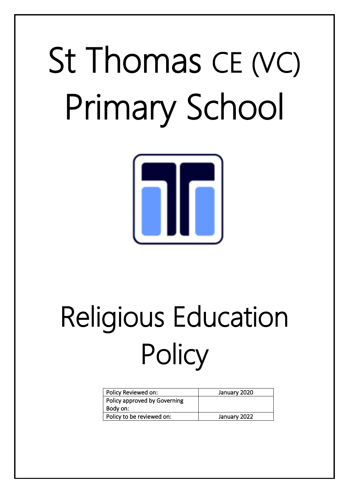# St Thomas CE (VC) Primary School



# Religious Education **Policy**

| Policy Reviewed on:          | January 2020 |
|------------------------------|--------------|
| Policy approved by Governing |              |
| Body on:                     |              |
| Policy to be reviewed on:    | January 2022 |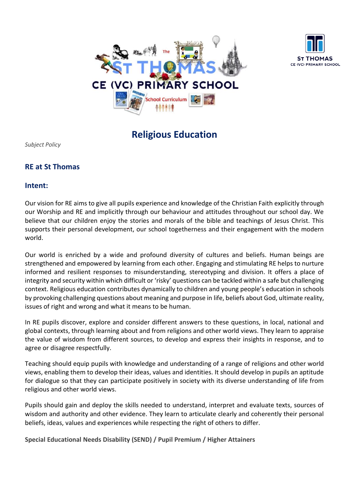



**Religious Education**

*Subject Policy*

# **RE at St Thomas**

### **Intent:**

Our vision for RE aims to give all pupils experience and knowledge of the Christian Faith explicitly through our Worship and RE and implicitly through our behaviour and attitudes throughout our school day. We believe that our children enjoy the stories and morals of the bible and teachings of Jesus Christ. This supports their personal development, our school togetherness and their engagement with the modern world.

Our world is enriched by a wide and profound diversity of cultures and beliefs. Human beings are strengthened and empowered by learning from each other. Engaging and stimulating RE helps to nurture informed and resilient responses to misunderstanding, stereotyping and division. It offers a place of integrity and security within which difficult or 'risky' questions can be tackled within a safe but challenging context. Religious education contributes dynamically to children and young people's education in schools by provoking challenging questions about meaning and purpose in life, beliefs about God, ultimate reality, issues of right and wrong and what it means to be human.

In RE pupils discover, explore and consider different answers to these questions, in local, national and global contexts, through learning about and from religions and other world views. They learn to appraise the value of wisdom from different sources, to develop and express their insights in response, and to agree or disagree respectfully.

Teaching should equip pupils with knowledge and understanding of a range of religions and other world views, enabling them to develop their ideas, values and identities. It should develop in pupils an aptitude for dialogue so that they can participate positively in society with its diverse understanding of life from religious and other world views.

Pupils should gain and deploy the skills needed to understand, interpret and evaluate texts, sources of wisdom and authority and other evidence. They learn to articulate clearly and coherently their personal beliefs, ideas, values and experiences while respecting the right of others to differ.

**Special Educational Needs Disability (SEND) / Pupil Premium / Higher Attainers**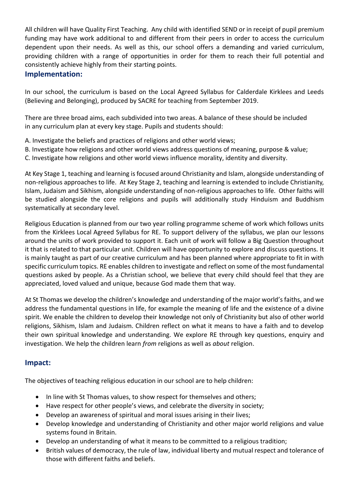All children will have Quality First Teaching. Any child with identified SEND or in receipt of pupil premium funding may have work additional to and different from their peers in order to access the curriculum dependent upon their needs. As well as this, our school offers a demanding and varied curriculum, providing children with a range of opportunities in order for them to reach their full potential and consistently achieve highly from their starting points.

## **Implementation:**

In our school, the curriculum is based on the Local Agreed Syllabus for Calderdale Kirklees and Leeds (Believing and Belonging), produced by SACRE for teaching from September 2019.

There are three broad aims, each subdivided into two areas. A balance of these should be included in any curriculum plan at every key stage. Pupils and students should:

- A. Investigate the beliefs and practices of religions and other world views;
- B. Investigate how religions and other world views address questions of meaning, purpose & value;
- C. Investigate how religions and other world views influence morality, identity and diversity.

At Key Stage 1, teaching and learning is focused around Christianity and Islam, alongside understanding of non-religious approaches to life. At Key Stage 2, teaching and learning is extended to include Christianity, Islam, Judaism and Sikhism, alongside understanding of non-religious approaches to life. Other faiths will be studied alongside the core religions and pupils will additionally study Hinduism and Buddhism systematically at secondary level.

Religious Education is planned from our two year rolling programme scheme of work which follows units from the Kirklees Local Agreed Syllabus for RE. To support delivery of the syllabus, we plan our lessons around the units of work provided to support it. Each unit of work will follow a Big Question throughout it that is related to that particular unit. Children will have opportunity to explore and discuss questions. It is mainly taught as part of our creative curriculum and has been planned where appropriate to fit in with specific curriculum topics. RE enables children to investigate and reflect on some of the most fundamental questions asked by people. As a Christian school, we believe that every child should feel that they are appreciated, loved valued and unique, because God made them that way.

At St Thomas we develop the children's knowledge and understanding of the major world's faiths, and we address the fundamental questions in life, for example the meaning of life and the existence of a divine spirit. We enable the children to develop their knowledge not only of Christianity but also of other world religions, Sikhism, Islam and Judaism. Children reflect on what it means to have a faith and to develop their own spiritual knowledge and understanding. We explore RE through key questions, enquiry and investigation. We help the children learn *from* religions as well as *about* religion.

### **Impact:**

The objectives of teaching religious education in our school are to help children:

- In line with St Thomas values, to show respect for themselves and others;
- Have respect for other people's views, and celebrate the diversity in society;
- Develop an awareness of spiritual and moral issues arising in their lives;
- Develop knowledge and understanding of Christianity and other major world religions and value systems found in Britain.
- Develop an understanding of what it means to be committed to a religious tradition;
- British values of democracy, the rule of law, individual liberty and mutual respect and tolerance of those with different faiths and beliefs.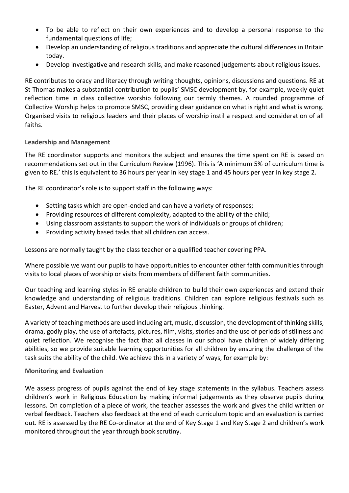- To be able to reflect on their own experiences and to develop a personal response to the fundamental questions of life;
- Develop an understanding of religious traditions and appreciate the cultural differences in Britain today.
- Develop investigative and research skills, and make reasoned judgements about religious issues.

RE contributes to oracy and literacy through writing thoughts, opinions, discussions and questions. RE at St Thomas makes a substantial contribution to pupils' SMSC development by, for example, weekly quiet reflection time in class collective worship following our termly themes. A rounded programme of Collective Worship helps to promote SMSC, providing clear guidance on what is right and what is wrong. Organised visits to religious leaders and their places of worship instil a respect and consideration of all faiths.

#### **Leadership and Management**

The RE coordinator supports and monitors the subject and ensures the time spent on RE is based on recommendations set out in the Curriculum Review (1996). This is 'A minimum 5% of curriculum time is given to RE.' this is equivalent to 36 hours per year in key stage 1 and 45 hours per year in key stage 2.

The RE coordinator's role is to support staff in the following ways:

- Setting tasks which are open-ended and can have a variety of responses;
- Providing resources of different complexity, adapted to the ability of the child;
- Using classroom assistants to support the work of individuals or groups of children;
- Providing activity based tasks that all children can access.

Lessons are normally taught by the class teacher or a qualified teacher covering PPA.

Where possible we want our pupils to have opportunities to encounter other faith communities through visits to local places of worship or visits from members of different faith communities.

Our teaching and learning styles in RE enable children to build their own experiences and extend their knowledge and understanding of religious traditions. Children can explore religious festivals such as Easter, Advent and Harvest to further develop their religious thinking.

A variety of teaching methods are used including art, music, discussion, the development of thinking skills, drama, godly play, the use of artefacts, pictures, film, visits, stories and the use of periods of stillness and quiet reflection. We recognise the fact that all classes in our school have children of widely differing abilities, so we provide suitable learning opportunities for all children by ensuring the challenge of the task suits the ability of the child. We achieve this in a variety of ways, for example by:

#### **Monitoring and Evaluation**

We assess progress of pupils against the end of key stage statements in the syllabus. Teachers assess children's work in Religious Education by making informal judgements as they observe pupils during lessons. On completion of a piece of work, the teacher assesses the work and gives the child written or verbal feedback. Teachers also feedback at the end of each curriculum topic and an evaluation is carried out. RE is assessed by the RE Co-ordinator at the end of Key Stage 1 and Key Stage 2 and children's work monitored throughout the year through book scrutiny.